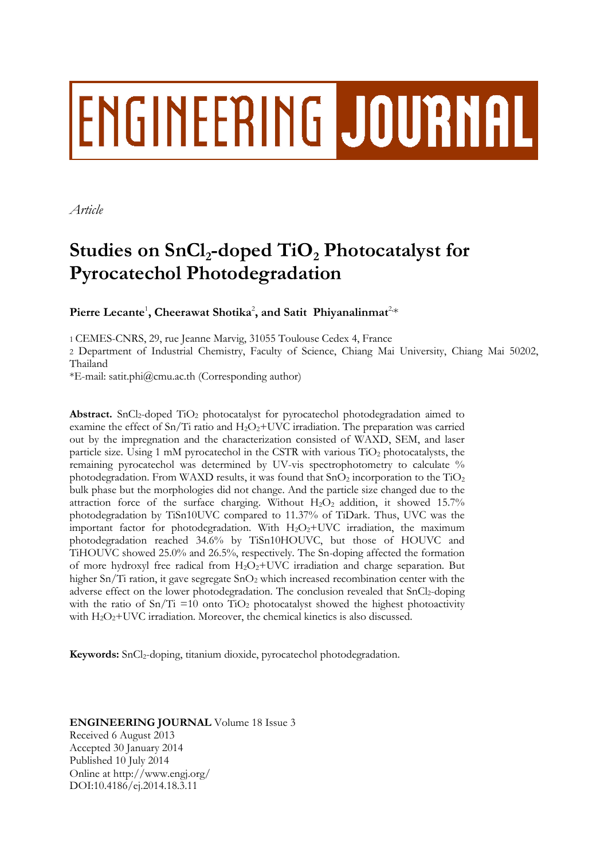# ENGINEERING JOURNAL

*Article*

# **Studies on SnCl<sup>2</sup> -doped TiO<sup>2</sup> Photocatalyst for Pyrocatechol Photodegradation**

Pierre Lecante<sup>1</sup>, Cheerawat Shotika<sup>2</sup>, and Satit Phiyanalinmat<sup>2,\*</sup>

1 CEMES-CNRS, 29, rue Jeanne Marvig, 31055 Toulouse Cedex 4, France

2 Department of Industrial Chemistry, Faculty of Science, Chiang Mai University, Chiang Mai 50202, Thailand

\*E-mail: satit.phi@cmu.ac.th (Corresponding author)

Abstract. SnCl<sub>2</sub>-doped TiO<sub>2</sub> photocatalyst for pyrocatechol photodegradation aimed to examine the effect of  $Sn/Ti$  ratio and  $H_2O_2+UVC$  irradiation. The preparation was carried out by the impregnation and the characterization consisted of WAXD, SEM, and laser particle size. Using 1 mM pyrocatechol in the CSTR with various TiO<sup>2</sup> photocatalysts, the remaining pyrocatechol was determined by UV-vis spectrophotometry to calculate % photodegradation. From WAXD results, it was found that  $SnO<sub>2</sub>$  incorporation to the TiO<sub>2</sub> bulk phase but the morphologies did not change. And the particle size changed due to the attraction force of the surface charging. Without  $H_2O_2$  addition, it showed 15.7% photodegradation by TiSn10UVC compared to 11.37% of TiDark. Thus, UVC was the important factor for photodegradation. With H<sub>2</sub>O<sub>2</sub>+UVC irradiation, the maximum photodegradation reached 34.6% by TiSn10HOUVC, but those of HOUVC and TiHOUVC showed 25.0% and 26.5%, respectively. The Sn-doping affected the formation of more hydroxyl free radical from  $H_2O_2+$ UVC irradiation and charge separation. But higher Sn/Ti ration, it gave segregate  $SnO<sub>2</sub>$  which increased recombination center with the adverse effect on the lower photodegradation. The conclusion revealed that SnCl2-doping with the ratio of  $Sn/Ti = 10$  onto  $TiO<sub>2</sub>$  photocatalyst showed the highest photoactivity with  $H_2O_2+UVC$  irradiation. Moreover, the chemical kinetics is also discussed.

**Keywords:** SnCl<sub>2</sub>-doping, titanium dioxide, pyrocatechol photodegradation.

# **ENGINEERING JOURNAL** Volume 18 Issue 3 Received 6 August 2013

Accepted 30 January 2014 Published 10 July 2014 Online at http://www.engj.org/ DOI:10.4186/ej.2014.18.3.11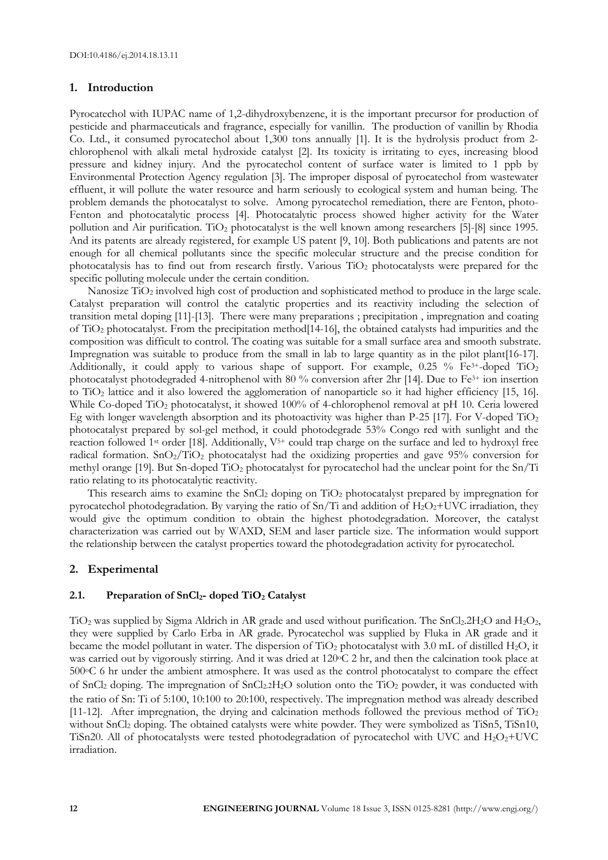## **1. Introduction**

Pyrocatechol with IUPAC name of 1,2-dihydroxybenzene, it is the important precursor for production of pesticide and pharmaceuticals and fragrance, especially for vanillin. The production of vanillin by Rhodia Co. Ltd., it consumed pyrocatechol about 1,300 tons annually [1]. It is the hydrolysis product from 2 chlorophenol with alkali metal hydroxide catalyst [2]. Its toxicity is irritating to eyes, increasing blood pressure and kidney injury. And the pyrocatechol content of surface water is limited to 1 ppb by Environmental Protection Agency regulation [3]. The improper disposal of pyrocatechol from wastewater effluent, it will pollute the water resource and harm seriously to ecological system and human being. The problem demands the photocatalyst to solve. Among pyrocatechol remediation, there are Fenton, photo-Fenton and photocatalytic process [4]. Photocatalytic process showed higher activity for the Water pollution and Air purification. TiO<sub>2</sub> photocatalyst is the well known among researchers [5]-[8] since 1995. And its patents are already registered, for example US patent [9, 10]. Both publications and patents are not enough for all chemical pollutants since the specific molecular structure and the precise condition for photocatalysis has to find out from research firstly. Various TiO<sub>2</sub> photocatalysts were prepared for the specific polluting molecule under the certain condition.

Nanosize TiO<sub>2</sub> involved high cost of production and sophisticated method to produce in the large scale. Catalyst preparation will control the catalytic properties and its reactivity including the selection of transition metal doping [11]-[13]. There were many preparations ; precipitation , impregnation and coating of TiO<sup>2</sup> photocatalyst. From the precipitation method[14-16], the obtained catalysts had impurities and the composition was difficult to control. The coating was suitable for a small surface area and smooth substrate. Impregnation was suitable to produce from the small in lab to large quantity as in the pilot plant[16-17]. Additionally, it could apply to various shape of support. For example, 0.25 % Fe<sup>3+</sup>-doped TiO<sub>2</sub> photocatalyst photodegraded 4-nitrophenol with 80 % conversion after 2hr [14]. Due to Fe3+ ion insertion to TiO<sup>2</sup> lattice and it also lowered the agglomeration of nanoparticle so it had higher efficiency [15, 16]. While Co-doped TiO<sub>2</sub> photocatalyst, it showed 100% of 4-chlorophenol removal at pH 10. Ceria lowered Eg with longer wavelength absorption and its photoactivity was higher than P-25 [17]. For V-doped TiO<sub>2</sub> photocatalyst prepared by sol-gel method, it could photodegrade 53% Congo red with sunlight and the reaction followed 1<sup>st</sup> order [18]. Additionally,  $V^{5+}$  could trap charge on the surface and led to hydroxyl free radical formation.  $SnO_2/TiO_2$  photocatalyst had the oxidizing properties and gave 95% conversion for methyl orange [19]. But Sn-doped TiO<sub>2</sub> photocatalyst for pyrocatechol had the unclear point for the Sn/Ti ratio relating to its photocatalytic reactivity.

This research aims to examine the SnCl<sub>2</sub> doping on TiO<sub>2</sub> photocatalyst prepared by impregnation for pyrocatechol photodegradation. By varying the ratio of  $Sn/Ti$  and addition of  $H_2O_2+UVC$  irradiation, they would give the optimum condition to obtain the highest photodegradation. Moreover, the catalyst characterization was carried out by WAXD, SEM and laser particle size. The information would support the relationship between the catalyst properties toward the photodegradation activity for pyrocatechol.

## **2. Experimental**

#### **2.1. Preparation of SnCl2- doped TiO<sup>2</sup> Catalyst**

 $TiO<sub>2</sub>$  was supplied by Sigma Aldrich in AR grade and used without purification. The SnCl<sub>2</sub>.2H<sub>2</sub>O and H<sub>2</sub>O<sub>2</sub>, they were supplied by Carlo Erba in AR grade. Pyrocatechol was supplied by Fluka in AR grade and it became the model pollutant in water. The dispersion of TiO<sub>2</sub> photocatalyst with 3.0 mL of distilled H<sub>2</sub>O, it was carried out by vigorously stirring. And it was dried at 120oC 2 hr, and then the calcination took place at 500°C 6 hr under the ambient atmosphere. It was used as the control photocatalyst to compare the effect of SnCl<sup>2</sup> doping. The impregnation of SnCl2.2H2O solution onto the TiO<sup>2</sup> powder, it was conducted with the ratio of Sn: Ti of 5:100, 10:100 to 20:100, respectively. The impregnation method was already described  $[11-12]$ . After impregnation, the drying and calcination methods followed the previous method of TiO<sub>2</sub> without SnCl<sub>2</sub> doping. The obtained catalysts were white powder. They were symbolized as TiSn5, TiSn10, TiSn20. All of photocatalysts were tested photodegradation of pyrocatechol with UVC and H2O2+UVC irradiation.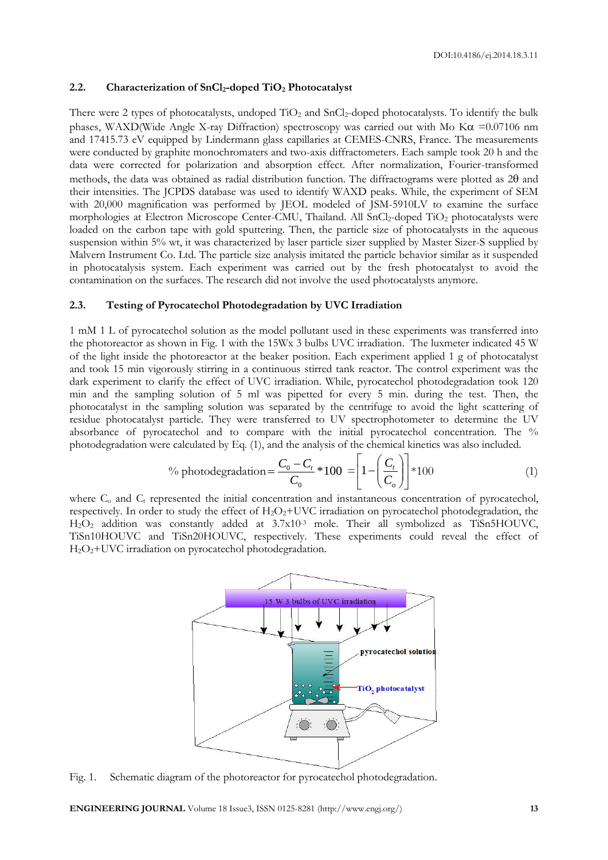# **2.2. Characterization of SnCl2-doped TiO<sup>2</sup> Photocatalyst**

There were 2 types of photocatalysts, undoped  $TiO<sub>2</sub>$  and  $SnCl<sub>2</sub>$ -doped photocatalysts. To identify the bulk phases, WAXD(Wide Angle X-ray Diffraction) spectroscopy was carried out with Mo K $\alpha$  =0.07106 nm and 17415.73 eV equipped by Lindermann glass capillaries at CEMES-CNRS, France. The measurements were conducted by graphite monochromaters and two-axis diffractometers. Each sample took 20 h and the data were corrected for polarization and absorption effect. After normalization, Fourier-transformed methods, the data was obtained as radial distribution function. The diffractograms were plotted as  $2\theta$  and their intensities. The JCPDS database was used to identify WAXD peaks. While, the experiment of SEM with 20,000 magnification was performed by JEOL modeled of JSM-5910LV to examine the surface morphologies at Electron Microscope Center-CMU, Thailand. All SnCl2-doped TiO2 photocatalysts were loaded on the carbon tape with gold sputtering. Then, the particle size of photocatalysts in the aqueous suspension within 5% wt, it was characterized by laser particle sizer supplied by Master Sizer-S supplied by Malvern Instrument Co. Ltd. The particle size analysis imitated the particle behavior similar as it suspended in photocatalysis system. Each experiment was carried out by the fresh photocatalyst to avoid the contamination on the surfaces. The research did not involve the used photocatalysts anymore.

## **2.3. Testing of Pyrocatechol Photodegradation by UVC Irradiation**

1 mM 1 L of pyrocatechol solution as the model pollutant used in these experiments was transferred into the photoreactor as shown in Fig. 1 with the 15Wx 3 bulbs UVC irradiation. The luxmeter indicated 45 W of the light inside the photoreactor at the beaker position. Each experiment applied 1 g of photocatalyst and took 15 min vigorously stirring in a continuous stirred tank reactor. The control experiment was the dark experiment to clarify the effect of UVC irradiation. While, pyrocatechol photodegradation took 120 min and the sampling solution of 5 ml was pipetted for every 5 min. during the test. Then, the photocatalyst in the sampling solution was separated by the centrifuge to avoid the light scattering of residue photocatalyst particle. They were transferred to UV spectrophotometer to determine the UV absorbance of pyrocatechol and to compare with the initial pyrocatechol concentration. The % photodegradation were calculated by Eq. (1), and the analysis of the chemical kinetics was also included.

<sup>9</sup>% photodegradation = 
$$
\frac{C_0 - C_t}{C_0} * 100 = \left[1 - \left(\frac{C_t}{C_o}\right)\right] * 100
$$
 (1)

where  $C<sub>o</sub>$  and  $C<sub>t</sub>$  represented the initial concentration and instantaneous concentration of pyrocatechol, respectively. In order to study the effect of  $H_2O_2+UVC$  irradiation on pyrocatechol photodegradation, the H2O<sup>2</sup> addition was constantly added at 3.7x10-3 mole. Their all symbolized as TiSn5HOUVC, TiSn10HOUVC and TiSn20HOUVC, respectively. These experiments could reveal the effect of H2O2+UVC irradiation on pyrocatechol photodegradation.



Fig. 1. Schematic diagram of the photoreactor for pyrocatechol photodegradation.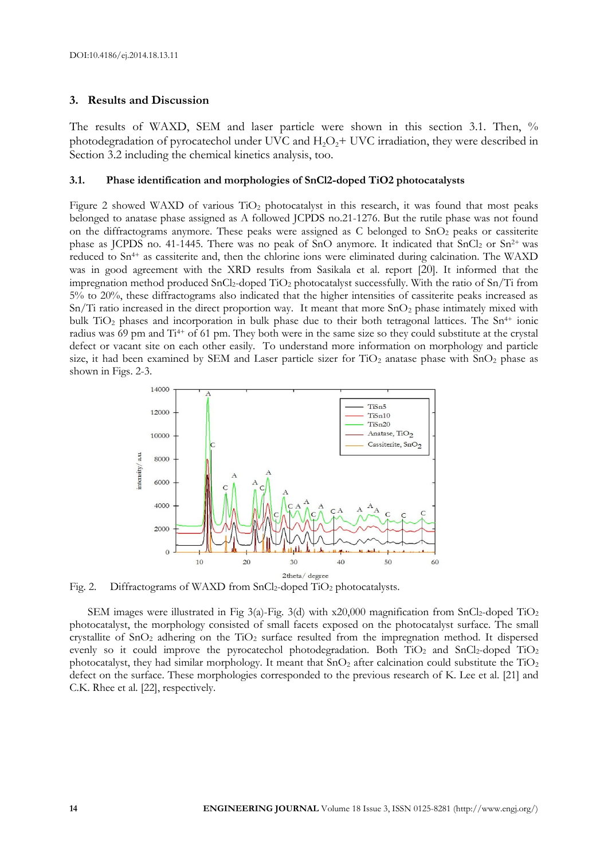# **3. Results and Discussion**

The results of WAXD, SEM and laser particle were shown in this section 3.1. Then, % photodegradation of pyrocatechol under UVC and  $H_2O<sub>2</sub>$ + UVC irradiation, they were described in Section 3.2 including the chemical kinetics analysis, too.

#### **3.1. Phase identification and morphologies of SnCl2-doped TiO2 photocatalysts**

Figure 2 showed WAXD of various  $TiO<sub>2</sub>$  photocatalyst in this research, it was found that most peaks belonged to anatase phase assigned as A followed JCPDS no.21-1276. But the rutile phase was not found on the diffractograms anymore. These peaks were assigned as  $C$  belonged to  $SnO<sub>2</sub>$  peaks or cassiterite phase as JCPDS no. 41-1445. There was no peak of SnO anymore. It indicated that  $SnCl<sub>2</sub>$  or  $Sn<sup>2+</sup>$  was reduced to Sn<sup>4+</sup> as cassiterite and, then the chlorine ions were eliminated during calcination. The WAXD was in good agreement with the XRD results from Sasikala et al. report [20]. It informed that the impregnation method produced  $SnCl<sub>2</sub>$ -doped  $TiO<sub>2</sub>$  photocatalyst successfully. With the ratio of  $Sn/Ti$  from 5% to 20%, these diffractograms also indicated that the higher intensities of cassiterite peaks increased as  $Sn/Ti$  ratio increased in the direct proportion way. It meant that more  $SnO<sub>2</sub>$  phase intimately mixed with bulk  $TiO<sub>2</sub>$  phases and incorporation in bulk phase due to their both tetragonal lattices. The  $Sn<sup>4+</sup>$  ionic radius was 69 pm and Ti<sup>4+</sup> of 61 pm. They both were in the same size so they could substitute at the crystal defect or vacant site on each other easily. To understand more information on morphology and particle size, it had been examined by SEM and Laser particle sizer for  $TiO<sub>2</sub>$  anatase phase with  $SnO<sub>2</sub>$  phase as shown in Figs. 2-3.



Fig. 2. Diffractograms of WAXD from SnCl<sub>2</sub>-doped TiO<sub>2</sub> photocatalysts.

SEM images were illustrated in Fig  $3(a)$ -Fig. 3(d) with x20,000 magnification from SnCl<sub>2</sub>-doped TiO<sub>2</sub> photocatalyst, the morphology consisted of small facets exposed on the photocatalyst surface. The small crystallite of  $SnO<sub>2</sub>$  adhering on the TiO<sub>2</sub> surface resulted from the impregnation method. It dispersed evenly so it could improve the pyrocatechol photodegradation. Both  $TiO<sub>2</sub>$  and  $SnCl<sub>2</sub>$ -doped  $TiO<sub>2</sub>$ photocatalyst, they had similar morphology. It meant that  $SnO<sub>2</sub>$  after calcination could substitute the  $TiO<sub>2</sub>$ defect on the surface. These morphologies corresponded to the previous research of K. Lee et al. [21] and C.K. Rhee et al. [22], respectively.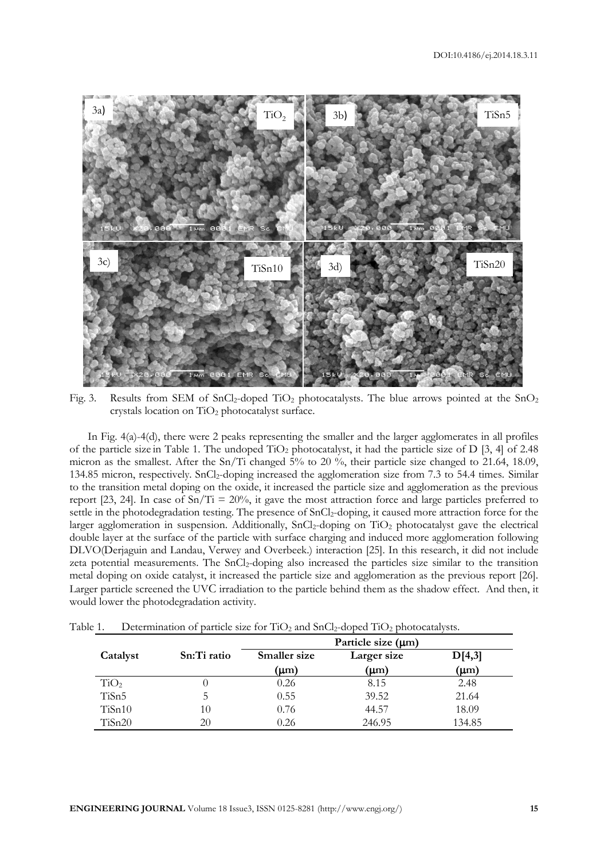

Fig. 3. Results from SEM of SnCl<sub>2</sub>-doped TiO<sub>2</sub> photocatalysts. The blue arrows pointed at the SnO<sub>2</sub> crystals location on TiO<sub>2</sub> photocatalyst surface.

In Fig. 4(a)-4(d), there were 2 peaks representing the smaller and the larger agglomerates in all profiles of the particle size in Table 1. The undoped  $TiO<sub>2</sub>$  photocatalyst, it had the particle size of D [3, 4] of 2.48 micron as the smallest. After the Sn/Ti changed 5% to 20 %, their particle size changed to 21.64, 18.09, 134.85 micron, respectively. SnCl<sub>2</sub>-doping increased the agglomeration size from 7.3 to 54.4 times. Similar to the transition metal doping on the oxide, it increased the particle size and agglomeration as the previous report [23, 24]. In case of  $Sn/Ti = 20\%$ , it gave the most attraction force and large particles preferred to settle in the photodegradation testing. The presence of SnCl<sub>2</sub>-doping, it caused more attraction force for the larger agglomeration in suspension. Additionally, SnCl<sub>2</sub>-doping on TiO<sub>2</sub> photocatalyst gave the electrical double layer at the surface of the particle with surface charging and induced more agglomeration following DLVO[\(Derjaguin](http://en.wikipedia.org/wiki/Boris_Derjaguin) and [Landau,](http://en.wikipedia.org/wiki/Lev_Davidovich_Landau) [Verwey](http://en.wikipedia.org/w/index.php?title=Evert_Johannes_Willem_Verwey&action=edit&redlink=1) and [Overbeek.\)](http://en.wikipedia.org/w/index.php?title=Theo_Overbeek&action=edit&redlink=1) interaction [25]. In this research, it did not include zeta potential measurements. The SnCl<sub>2</sub>-doping also increased the particles size similar to the transition metal doping on oxide catalyst, it increased the particle size and agglomeration as the previous report [26]. Larger particle screened the UVC irradiation to the particle behind them as the shadow effect. And then, it would lower the photodegradation activity.

|                  |             | Particle size $(\mu m)$ |             |           |
|------------------|-------------|-------------------------|-------------|-----------|
| Catalyst         | Sn:Ti ratio | <b>Smaller size</b>     | Larger size | D[4,3]    |
|                  |             | (µm)                    | (µm)        | $(\mu m)$ |
| TiO <sub>2</sub> |             | 0.26                    | 8.15        | 2.48      |
| TiSn5            | C           | 0.55                    | 39.52       | 21.64     |
| TiSn10           | 10          | 0.76                    | 44.57       | 18.09     |
| TiSn20           | 20          | 0.26                    | 246.95      | 134.85    |

Table 1. Determination of particle size for  $TiO<sub>2</sub>$  and  $SnCl<sub>2</sub>$ -doped  $TiO<sub>2</sub>$  photocatalysts.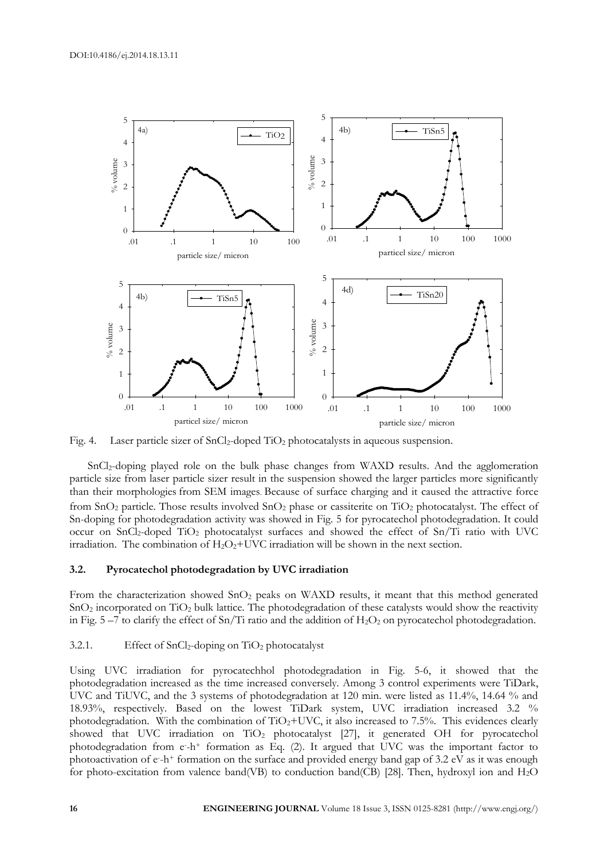

Fig. 4. Laser particle sizer of SnCl<sub>2</sub>-doped TiO<sub>2</sub> photocatalysts in aqueous suspension.

SnCl2-doping played role on the bulk phase changes from WAXD results. And the agglomeration particle size from laser particle sizer result in the suspension showed the larger particles more significantly than their morphologies from SEM images. Because of surface charging and it caused the attractive force from SnO<sub>2</sub> particle. Those results involved SnO<sub>2</sub> phase or cassiterite on TiO<sub>2</sub> photocatalyst. The effect of Sn-doping for photodegradation activity was showed in Fig. 5 for pyrocatechol photodegradation. It could occur on SnCl<sub>2</sub>-doped TiO<sub>2</sub> photocatalyst surfaces and showed the effect of Sn/Ti ratio with UVC irradiation. The combination of  $H_2O_2+UVC$  irradiation will be shown in the next section.

## **3.2. Pyrocatechol photodegradation by UVC irradiation**

From the characterization showed SnO<sub>2</sub> peaks on WAXD results, it meant that this method generated SnO<sup>2</sup> incorporated on TiO<sup>2</sup> bulk lattice. The photodegradation of these catalysts would show the reactivity in Fig.  $5 - 7$  to clarify the effect of Sn/Ti ratio and the addition of  $H_2O_2$  on pyrocatechol photodegradation.

# 3.2.1. Effect of  $SnCl<sub>2</sub>$ -doping on  $TiO<sub>2</sub>$  photocatalyst

Using UVC irradiation for pyrocatechhol photodegradation in Fig. 5-6, it showed that the photodegradation increased as the time increased conversely. Among 3 control experiments were TiDark, UVC and TiUVC, and the 3 systems of photodegradation at 120 min. were listed as 11.4%, 14.64 % and 18.93%, respectively. Based on the lowest TiDark system, UVC irradiation increased 3.2 % photodegradation. With the combination of  $TiO_2+UVC$ , it also increased to 7.5%. This evidences clearly showed that UVC irradiation on TiO<sub>2</sub> photocatalyst [27], it generated OH for pyrocatechol photodegradation from e-h+ formation as Eq. (2). It argued that UVC was the important factor to photoactivation of  $e$ -h+ formation on the surface and provided energy band gap of 3.2 eV as it was enough for photo-excitation from valence band(VB) to conduction band(CB) [28]. Then, hydroxyl ion and H2O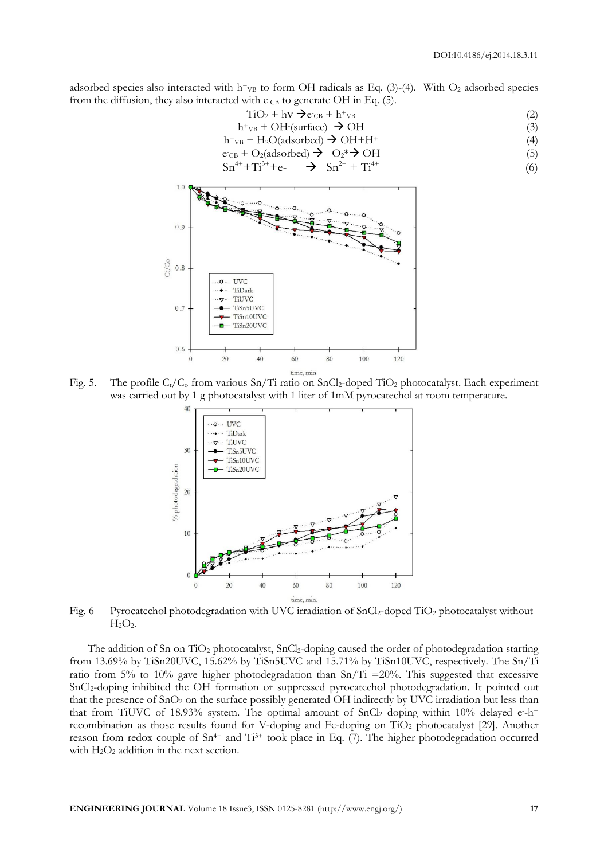adsorbed species also interacted with h<sup>+</sup><sub>VB</sub> to form OH radicals as Eq. (3)-(4). With  $O_2$  adsorbed species from the diffusion, they also interacted with e<sub>CB</sub> to generate OH in Eq. (5).

$$
TiO2 + h\nu \rightarrow eCB + h+VB
$$
\n(2)

$$
h^{+}v_{B} + OH\text{ (surface)} \rightarrow OH\tag{3}
$$

 $h^+v_B + H_2O(adsorbed) \rightarrow OH + H^+$  (4)<br>  $f^+v_B + O_2(adsorbed) \rightarrow O_3^* \rightarrow OH$  (5) e -  $+\Omega_2$ (adsorbed)  $\rightarrow$ 

$$
Sn^{4+} + Ti^{3+} + e - \rightarrow Sn^{2+} + Ti^{4+}
$$
 (6)



Fig. 5. The profile  $C_t/C_0$  from various Sn/Ti ratio on SnCl<sub>2</sub>-doped TiO<sub>2</sub> photocatalyst. Each experiment was carried out by 1 g photocatalyst with 1 liter of 1mM pyrocatechol at room temperature.



Fig. 6 Pyrocatechol photodegradation with UVC irradiation of SnCl<sub>2</sub>-doped TiO<sub>2</sub> photocatalyst without  $H<sub>2</sub>O<sub>2</sub>$ .

The addition of Sn on TiO<sub>2</sub> photocatalyst, SnCl<sub>2</sub>-doping caused the order of photodegradation starting from 13.69% by TiSn20UVC, 15.62% by TiSn5UVC and 15.71% by TiSn10UVC, respectively. The Sn/Ti ratio from 5% to 10% gave higher photodegradation than  $Sn/Ti = 20%$ . This suggested that excessive SnCl2-doping inhibited the OH formation or suppressed pyrocatechol photodegradation. It pointed out that the presence of  $SnO<sub>2</sub>$  on the surface possibly generated OH indirectly by UVC irradiation but less than that from TiUVC of 18.93% system. The optimal amount of SnCl<sub>2</sub> doping within 10% delayed  $e-h^+$ recombination as those results found for V-doping and Fe-doping on TiO<sup>2</sup> photocatalyst [29]. Another reason from redox couple of Sn<sup>4+</sup> and Ti<sup>3+</sup> took place in Eq. (7). The higher photodegradation occurred with  $H_2O_2$  addition in the next section.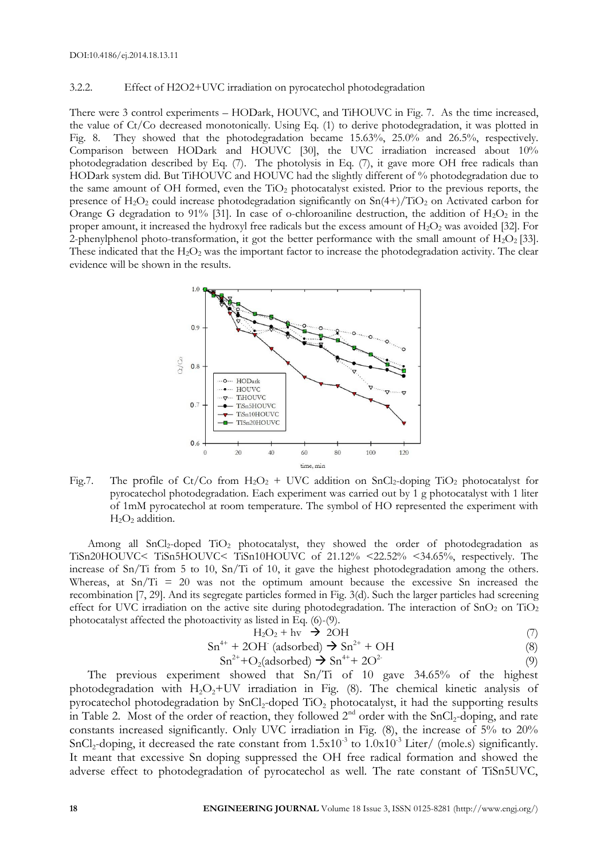#### 3.2.2. Effect of H2O2+UVC irradiation on pyrocatechol photodegradation

There were 3 control experiments – HODark, HOUVC, and TiHOUVC in Fig. 7. As the time increased, the value of Ct/Co decreased monotonically. Using Eq. (1) to derive photodegradation, it was plotted in Fig. 8. They showed that the photodegradation became 15.63%, 25.0% and 26.5%, respectively. Comparison between HODark and HOUVC [30], the UVC irradiation increased about 10% photodegradation described by Eq. (7). The photolysis in Eq. (7), it gave more OH free radicals than HODark system did. But TiHOUVC and HOUVC had the slightly different of % photodegradation due to the same amount of OH formed, even the  $TiO<sub>2</sub>$  photocatalyst existed. Prior to the previous reports, the presence of  $H_2O_2$  could increase photodegradation significantly on  $Sn(4+)/TiO_2$  on Activated carbon for Orange G degradation to 91% [31]. In case of o-chloroaniline destruction, the addition of  $H_2O_2$  in the proper amount, it increased the hydroxyl free radicals but the excess amount of  $H_2O_2$  was avoided [32]. For 2-phenylphenol photo-transformation, it got the better performance with the small amount of  $H_2O_2$  [33]. These indicated that the  $H_2O_2$  was the important factor to increase the photodegradation activity. The clear evidence will be shown in the results.



Fig.7. The profile of Ct/Co from  $H_2O_2$  + UVC addition on SnCl<sub>2</sub>-doping TiO<sub>2</sub> photocatalyst for pyrocatechol photodegradation. Each experiment was carried out by 1 g photocatalyst with 1 liter of 1mM pyrocatechol at room temperature. The symbol of HO represented the experiment with H2O<sup>2</sup> addition.

Among all SnCl<sub>2</sub>-doped TiO<sub>2</sub> photocatalyst, they showed the order of photodegradation as TiSn20HOUVC< TiSn5HOUVC< TiSn10HOUVC of 21.12% <22.52% <34.65%, respectively. The increase of Sn/Ti from 5 to 10, Sn/Ti of 10, it gave the highest photodegradation among the others. Whereas, at  $Sn/Ti = 20$  was not the optimum amount because the excessive Sn increased the recombination [7, 29]. And its segregate particles formed in Fig. 3(d). Such the larger particles had screening effect for UVC irradiation on the active site during photodegradation. The interaction of SnO<sub>2</sub> on TiO<sub>2</sub> photocatalyst affected the photoactivity as listed in Eq. (6)-(9).

$$
H_2O_2 + hv \rightarrow 2OH \tag{7}
$$

$$
Sn^{4+} + 2OH^{+} (adsorbed) \rightarrow Sn^{2+} + OH
$$
 (8)

$$
Sn^{2+} + O_2(adsorbed) \rightarrow Sn^{4+} + 2O^{2-}
$$
\n<sup>(9)</sup>

The previous experiment showed that Sn/Ti of 10 gave 34.65% of the highest photodegradation with  $H_2O_2+UV$  irradiation in Fig. (8). The chemical kinetic analysis of pyrocatechol photodegradation by SnCl<sub>2</sub>-doped TiO<sub>2</sub> photocatalyst, it had the supporting results in Table 2. Most of the order of reaction, they followed  $2<sup>nd</sup>$  order with the SnCl<sub>2</sub>-doping, and rate constants increased significantly. Only UVC irradiation in Fig. (8), the increase of 5% to 20% SnCl<sub>2</sub>-doping, it decreased the rate constant from  $1.5x10^3$  to  $1.0x10^3$  Liter/ (mole.s) significantly. It meant that excessive Sn doping suppressed the OH free radical formation and showed the adverse effect to photodegradation of pyrocatechol as well. The rate constant of TiSn5UVC,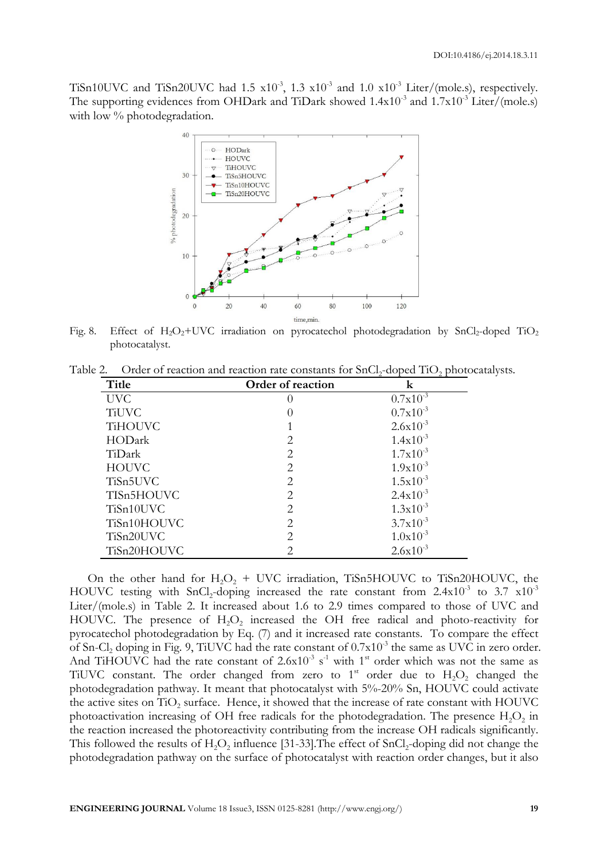TiSn10UVC and TiSn20UVC had 1.5  $x10^{-3}$ , 1.3  $x10^{-3}$  and 1.0  $x10^{-3}$  Liter/(mole.s), respectively. The supporting evidences from OHDark and TiDark showed  $1.4x10^3$  and  $1.7x10^{-3}$  Liter/(mole.s) with low % photodegradation.



Fig. 8. Effect of H<sub>2</sub>O<sub>2</sub>+UVC irradiation on pyrocatechol photodegradation by SnCl<sub>2</sub>-doped TiO<sub>2</sub> photocatalyst.

Table 2. Order of reaction and reaction rate constants for SnCl<sub>2</sub>-doped TiO<sub>2</sub> photocatalysts.

| Title          | Order of reaction           | k             |
|----------------|-----------------------------|---------------|
| <b>UVC</b>     |                             | $0.7x10^{-3}$ |
| <b>TiUVC</b>   |                             | $0.7x10^{-3}$ |
| <b>TiHOUVC</b> |                             | $2.6x10^{-3}$ |
| HODark         | 2                           | $1.4x10^{-3}$ |
| TiDark         | 2                           | $1.7x10^{-3}$ |
| <b>HOUVC</b>   | $\mathfrak{D}$              | $1.9x10^{-3}$ |
| TiSn5UVC       | 2                           | $1.5x10^{-3}$ |
| TISn5HOUVC     | 2                           | $2.4x10^{-3}$ |
| TiSn10UVC      | 2                           | $1.3x10^{-3}$ |
| TiSn10HOUVC    | 2                           | $3.7x10^{-3}$ |
| TiSn20UVC      | 2                           | $1.0x10^{-3}$ |
| TiSn20HOUVC    | $\mathcal{D}_{\mathcal{A}}$ | $2.6x10^{-3}$ |

On the other hand for  $H_2O_2$  + UVC irradiation, TiSn5HOUVC to TiSn20HOUVC, the HOUVC testing with SnCl<sub>2</sub>-doping increased the rate constant from  $2.4 \times 10^{-3}$  to  $3.7 \times 10^{-3}$ Liter/(mole.s) in Table 2. It increased about 1.6 to 2.9 times compared to those of UVC and HOUVC. The presence of  $H_2O_2$  increased the OH free radical and photo-reactivity for pyrocatechol photodegradation by Eq. (7) and it increased rate constants. To compare the effect of Sn-Cl<sub>2</sub> doping in Fig. 9, TiUVC had the rate constant of  $0.7x10^{-3}$  the same as UVC in zero order. And TiHOUVC had the rate constant of  $2.6x10^{-3}$  s<sup>-1</sup> with 1<sup>st</sup> order which was not the same as TiUVC constant. The order changed from zero to  $1<sup>st</sup>$  order due to  $H_2O_2$  changed the photodegradation pathway. It meant that photocatalyst with 5%-20% Sn, HOUVC could activate the active sites on TiO<sub>2</sub> surface. Hence, it showed that the increase of rate constant with HOUVC photoactivation increasing of OH free radicals for the photodegradation. The presence  $H_2O_2$  in the reaction increased the photoreactivity contributing from the increase OH radicals significantly. This followed the results of  $H_2O_2$  influence [31-33]. The effect of SnCl<sub>2</sub>-doping did not change the photodegradation pathway on the surface of photocatalyst with reaction order changes, but it also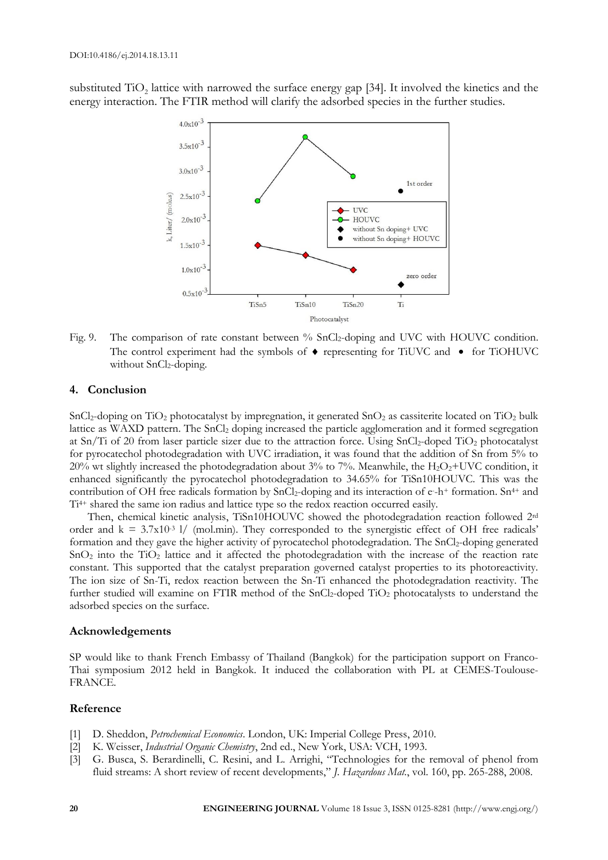substituted TiO<sub>2</sub> lattice with narrowed the surface energy gap [34]. It involved the kinetics and the energy interaction. The FTIR method will clarify the adsorbed species in the further studies.



Fig. 9. The comparison of rate constant between % SnCl<sub>2</sub>-doping and UVC with HOUVC condition. The control experiment had the symbols of  $\bullet$  representing for TiUVC and  $\bullet$  for TiOHUVC without  $SnCl<sub>2</sub>$ -doping.

# **4. Conclusion**

SnCl<sub>2</sub>-doping on TiO<sub>2</sub> photocatalyst by impregnation, it generated SnO<sub>2</sub> as cassiterite located on TiO<sub>2</sub> bulk lattice as WAXD pattern. The SnCl<sup>2</sup> doping increased the particle agglomeration and it formed segregation at Sn/Ti of 20 from laser particle sizer due to the attraction force. Using SnCl2-doped TiO<sup>2</sup> photocatalyst for pyrocatechol photodegradation with UVC irradiation, it was found that the addition of Sn from 5% to 20% wt slightly increased the photodegradation about 3% to 7%. Meanwhile, the  $H_2O_2+UVC$  condition, it enhanced significantly the pyrocatechol photodegradation to 34.65% for TiSn10HOUVC. This was the contribution of OH free radicals formation by SnCl<sub>2</sub>-doping and its interaction of e-h+ formation. Sn<sup>4+</sup> and Ti4+ shared the same ion radius and lattice type so the redox reaction occurred easily.

Then, chemical kinetic analysis, TiSn10HOUVC showed the photodegradation reaction followed 2rd order and  $k = 3.7x10^{-3}$  l/ (mol.min). They corresponded to the synergistic effect of OH free radicals<sup>3</sup> formation and they gave the higher activity of pyrocatechol photodegradation. The SnCl<sub>2</sub>-doping generated  $SnO<sub>2</sub>$  into the TiO<sub>2</sub> lattice and it affected the photodegradation with the increase of the reaction rate constant. This supported that the catalyst preparation governed catalyst properties to its photoreactivity. The ion size of Sn-Ti, redox reaction between the Sn-Ti enhanced the photodegradation reactivity. The further studied will examine on FTIR method of the SnCl<sub>2</sub>-doped TiO<sub>2</sub> photocatalysts to understand the adsorbed species on the surface.

## **Acknowledgements**

SP would like to thank French Embassy of Thailand (Bangkok) for the participation support on Franco-Thai symposium 2012 held in Bangkok. It induced the collaboration with PL at CEMES-Toulouse-FRANCE.

# **Reference**

- [1] D. Sheddon, *Petrochemical Economics*. London, UK: Imperial College Press, 2010.
- [2] K. Weisser, *Industrial Organic Chemistry*, 2nd ed., New York, USA: VCH, 1993.
- [3] G. Busca, S. Berardinelli, C. Resini, and L. Arrighi, "Technologies for the removal of phenol from fluid streams: A short review of recent developments," *J. Hazardous Mat.*, vol. 160, pp. 265-288, 2008.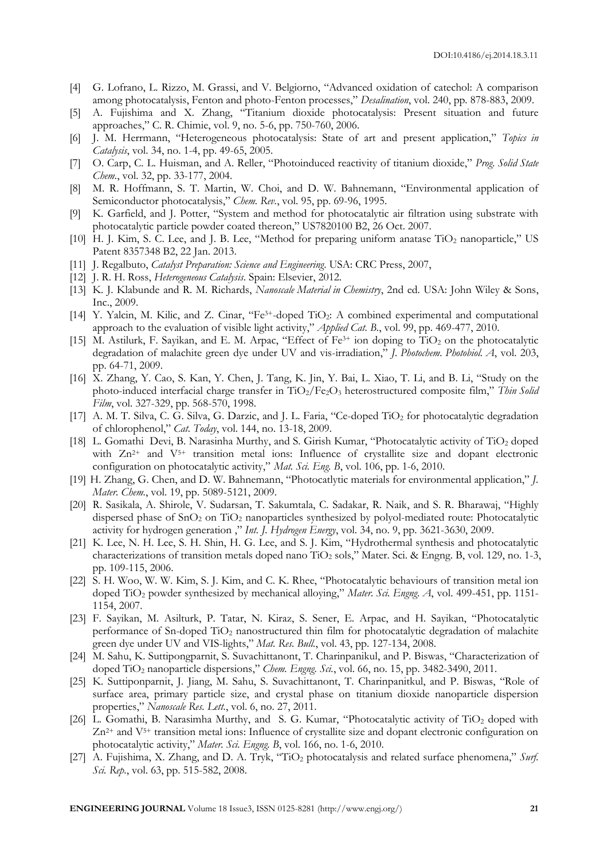- [4] G. Lofrano, L. Rizzo, M. Grassi, and V. Belgiorno, "Advanced oxidation of catechol: A comparison among photocatalysis, Fenton and photo-Fenton processes," *Desalination*, vol. 240, pp. 878-883, 2009.
- [5] A. Fujishima and X. Zhang, "Titanium dioxide photocatalysis: Present situation and future approaches," C. R. Chimie, vol. 9, no. 5-6, pp. 750-760, 2006.
- [6] J. M. Herrmann, "Heterogeneous photocatalysis: State of art and present application," *Topics in Catalysis*, vol. 34, no. 1-4, pp. 49-65, 2005.
- [7] O. Carp, C. L. Huisman, and A. Reller, "Photoinduced reactivity of titanium dioxide," *Prog. Solid State Chem.*, vol. 32, pp. 33-177, 2004.
- [8] M. R. Hoffmann, S. T. Martin, W. Choi, and D. W. Bahnemann, "Environmental application of Semiconductor photocatalysis," *Chem. Rev.*, vol. 95, pp. 69-96, 1995.
- [9] K. Garfield, and J. Potter, "System and method for photocatalytic air filtration using substrate with photocatalytic particle powder coated thereon," US7820100 B2, 26 Oct. 2007.
- [10] H. J. Kim, S. C. Lee, and J. B. Lee, "Method for preparing uniform anatase TiO<sub>2</sub> nanoparticle," US Patent 8357348 B2, 22 Jan. 2013.
- [11] J. Regalbuto, *Catalyst Preparation: Science and Engineering*. USA: CRC Press, 2007,
- [12] J. R. H. Ross, *Heterogeneous Catalysis*. Spain: Elsevier, 2012.
- [13] K. J. Klabunde and R. M. Richards, *Nanoscale Material in Chemistry*, 2nd ed. USA: John Wiley & Sons, Inc., 2009.
- [14] Y. Yalcin, M. Kilic, and Z. Cinar, "Fe3+-doped TiO2: A combined experimental and computational approach to the evaluation of visible light activity," *Applied Cat. B.*, vol. 99, pp. 469-477, 2010.
- [15] M. Astilurk, F. Sayikan, and E. M. Arpac, "Effect of  $Fe<sup>3+</sup>$  ion doping to TiO<sub>2</sub> on the photocatalytic degradation of malachite green dye under UV and vis-irradiation," *J. Photochem. Photobiol. A*, vol. 203, pp. 64-71, 2009.
- [16] X. Zhang, Y. Cao, S. Kan, Y. Chen, J. Tang, K. Jin, Y. Bai, L. Xiao, T. Li, and B. Li, "[Study on the](http://www.sciencedirect.com/science/article/pii/S0040609098007147)  [photo-induced interfacial charge transfer in TiO](http://www.sciencedirect.com/science/article/pii/S0040609098007147)2/Fe2O<sup>3</sup> heterostructured composite film," *Thin Solid Film*, vol. 327-329, pp. 568-570, 1998.
- [17] A. M. T. Silva, C. G. Silva, G. Darzic, and J. L. Faria, "Ce-doped TiO<sub>2</sub> for photocatalytic degradation of chlorophenol," *Cat. Today*, vol. 144, no. 13-18, 2009.
- [18] L. Gomathi Devi, B. Narasinha Murthy, and S. Girish Kumar, "Photocatalytic activity of TiO<sub>2</sub> doped with  $Zn^{2+}$  and  $V^{5+}$  transition metal ions: Influence of crystallite size and dopant electronic configuration on photocatalytic activity," *Mat. Sci. Eng. B*, vol. 106, pp. 1-6, 2010.
- [19] H. Zhang, G. Chen, and D. W. Bahnemann, "Photocatlytic materials for environmental application," *J. Mater. Chem.*, vol. 19, pp. 5089-5121, 2009.
- [20] R. Sasikala, A. Shirole, V. Sudarsan, T. Sakumtala, C. Sadakar, R. Naik, and S. R. Bharawaj, "Highly dispersed phase of SnO<sup>2</sup> on TiO<sup>2</sup> nanoparticles synthesized by polyol-mediated route: Photocatalytic activity for hydrogen generation ," *Int. J. Hydrogen Energy*, vol. 34, no. 9, pp. 3621-3630, 2009.
- [21] K. Lee, N. H. Lee, S. H. Shin, H. G. Lee, and S. J. Kim, "Hydrothermal synthesis and photocatalytic characterizations of transition metals doped nano TiO<sub>2</sub> sols," Mater. Sci. & Engng. B, vol. 129, no. 1-3, pp. 109-115, 2006.
- [22] S. H. Woo, W. W. Kim, S. J. Kim, and C. K. Rhee, "Photocatalytic behaviours of transition metal ion doped TiO<sup>2</sup> powder synthesized by mechanical alloying," *Mater. Sci. Engng. A*, vol. 499-451, pp. 1151- 1154, 2007.
- [23] F. Sayikan, M. Asilturk, P. Tatar, N. Kiraz, S. Sener, E. Arpac, and H. Sayikan, "Photocatalytic performance of Sn-doped TiO<sup>2</sup> nanostructured thin film for photocatalytic degradation of malachite green dye under UV and VIS-lights," *Mat. Res. Bull.*, vol. 43, pp. 127-134, 2008.
- [24] M. Sahu, K. Suttipongparnit, S. Suvachittanont, T. Charinpanikul, and P. Biswas, "Characterization of doped TiO<sup>2</sup> nanoparticle dispersions," *Chem. Engng. Sci.*, vol. 66, no. 15, pp. 3482-3490, 2011.
- [25] K. Suttiponparnit, J. Jiang, M. Sahu, S. Suvachittanont, T. Charinpanitkul, and P. Biswas, "Role of surface area, primary particle size, and crystal phase on titanium dioxide nanoparticle dispersion properties," *Nanoscale Res. Lett.*, vol. 6, no. 27, 2011.
- [26] L. Gomathi, B. Narasimha Murthy, and S. G. Kumar, "Photocatalytic activity of TiO<sub>2</sub> doped with  $Zn^{2+}$  and  $V^{5+}$  transition metal ions: Influence of crystallite size and dopant electronic configuration on photocatalytic activity," *Mater. Sci. Engng. B*, vol. 166, no. 1-6, 2010.
- [27] A. Fujishima, X. Zhang, and D. A. Tryk, "TiO<sup>2</sup> photocatalysis and related surface phenomena," *Surf. Sci. Rep.*, vol. 63, pp. 515-582, 2008.